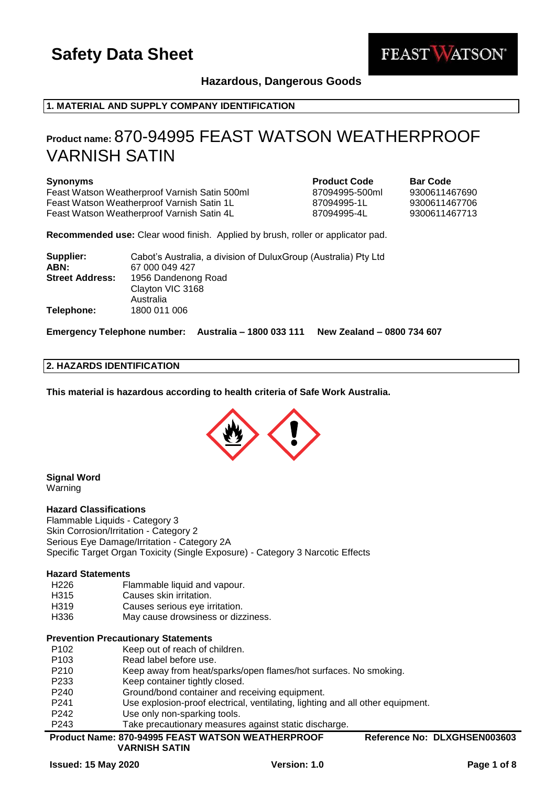

# **Hazardous, Dangerous Goods**

# **1. MATERIAL AND SUPPLY COMPANY IDENTIFICATION**

# **Product name:** 870-94995 FEAST WATSON WEATHERPROOF VARNISH SATIN

**Synonyms Product Code Bar Code** Feast Watson Weatherproof Varnish Satin 500ml 87094995-500ml Feast Watson Weatherproof Varnish Satin 1L 87094995-1L 9300611467706 Feast Watson Weatherproof Varnish Satin 4L 87094995-4L 9300611467713

**Recommended use:** Clear wood finish. Applied by brush, roller or applicator pad.

| Supplier:              | Cabot's Australia, a division of Dulux Group (Australia) Pty Ltd |
|------------------------|------------------------------------------------------------------|
| ABN:                   | 67 000 049 427                                                   |
| <b>Street Address:</b> | 1956 Dandenong Road                                              |
|                        | Clayton VIC 3168                                                 |
|                        | Australia                                                        |
| Telephone:             | 1800 011 006                                                     |

**Emergency Telephone number: Australia – 1800 033 111 New Zealand – 0800 734 607**

#### **2. HAZARDS IDENTIFICATION**

**This material is hazardous according to health criteria of Safe Work Australia.**



# **Signal Word**

**Warning** 

#### **Hazard Classifications**

Flammable Liquids - Category 3 Skin Corrosion/Irritation - Category 2 Serious Eye Damage/Irritation - Category 2A Specific Target Organ Toxicity (Single Exposure) - Category 3 Narcotic Effects

#### **Hazard Statements**

- H226 Flammable liquid and vapour.
- H315 Causes skin irritation.
- H319 Causes serious eye irritation.
- H336 May cause drowsiness or dizziness.

#### **Prevention Precautionary Statements**

- P102 Keep out of reach of children.
- P103 Read label before use.
- P210 Keep away from heat/sparks/open flames/hot surfaces. No smoking.
- P233 Keep container tightly closed.
- P240 Ground/bond container and receiving equipment.
- P241 Use explosion-proof electrical, ventilating, lighting and all other equipment.
- P242 Use only non-sparking tools.
- P243 Take precautionary measures against static discharge.

**Product Name: 870-94995 FEAST WATSON WEATHERPROOF Reference No: DLXGHSEN003603**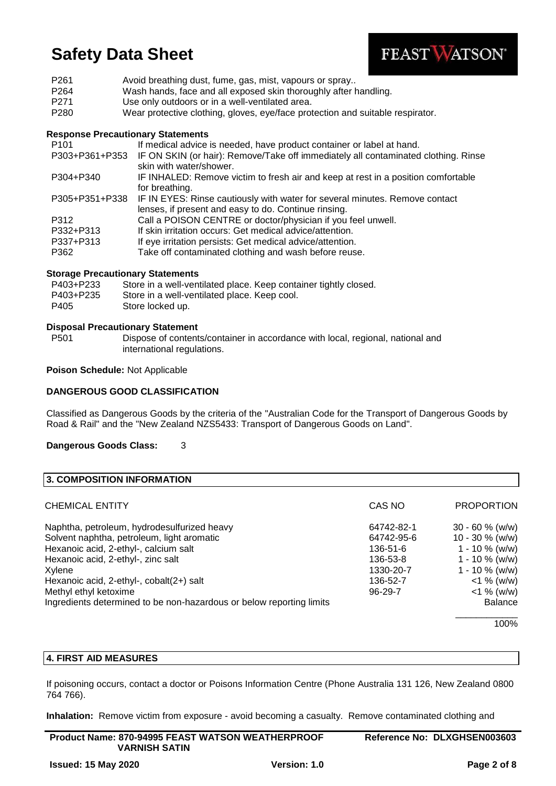

| P <sub>261</sub> | Avoid breathing dust, fume, gas, mist, vapours or spray                        |
|------------------|--------------------------------------------------------------------------------|
| P <sub>264</sub> | Wash hands, face and all exposed skin thoroughly after handling.               |
| P <sub>271</sub> | Use only outdoors or in a well-ventilated area.                                |
| P <sub>280</sub> | Wear protective clothing, gloves, eye/face protection and suitable respirator. |

### **Response Precautionary Statements**

| P <sub>101</sub> | If medical advice is needed, have product container or label at hand.                                         |
|------------------|---------------------------------------------------------------------------------------------------------------|
| P303+P361+P353   | IF ON SKIN (or hair): Remove/Take off immediately all contaminated clothing. Rinse<br>skin with water/shower. |
| P304+P340        | IF INHALED: Remove victim to fresh air and keep at rest in a position comfortable                             |
|                  | for breathing.                                                                                                |
| P305+P351+P338   | IF IN EYES: Rinse cautiously with water for several minutes. Remove contact                                   |
|                  | lenses, if present and easy to do. Continue rinsing.                                                          |
| P312             | Call a POISON CENTRE or doctor/physician if you feel unwell.                                                  |
| P332+P313        | If skin irritation occurs: Get medical advice/attention.                                                      |
| P337+P313        | If eye irritation persists: Get medical advice/attention.                                                     |
| P362             | Take off contaminated clothing and wash before reuse.                                                         |

# **Storage Precautionary Statements**

| P403+P233 | Store in a well-ventilated place. Keep container tightly closed. |
|-----------|------------------------------------------------------------------|
| P403+P235 | Store in a well-ventilated place. Keep cool.                     |
| P405      | Store locked up.                                                 |

#### **Disposal Precautionary Statement**

P501 Dispose of contents/container in accordance with local, regional, national and international regulations.

**Poison Schedule:** Not Applicable

### **DANGEROUS GOOD CLASSIFICATION**

Classified as Dangerous Goods by the criteria of the "Australian Code for the Transport of Dangerous Goods by Road & Rail" and the "New Zealand NZS5433: Transport of Dangerous Goods on Land".

**Dangerous Goods Class:** 3

| <b>3. COMPOSITION INFORMATION</b>                                    |               |                    |
|----------------------------------------------------------------------|---------------|--------------------|
| CHEMICAL ENTITY                                                      | CAS NO        | <b>PROPORTION</b>  |
| Naphtha, petroleum, hydrodesulfurized heavy                          | 64742-82-1    | $30 - 60 %$ (w/w)  |
| Solvent naphtha, petroleum, light aromatic                           | 64742-95-6    | $10 - 30 \%$ (w/w) |
| Hexanoic acid, 2-ethyl-, calcium salt                                | 136-51-6      | $1 - 10 \%$ (w/w)  |
| Hexanoic acid, 2-ethyl-, zinc salt                                   | 136-53-8      | $1 - 10 \%$ (w/w)  |
| Xylene                                                               | 1330-20-7     | $1 - 10 \%$ (w/w)  |
| Hexanoic acid, 2-ethyl-, cobalt(2+) salt                             | 136-52-7      | $<$ 1 % (w/w)      |
| Methyl ethyl ketoxime                                                | $96 - 29 - 7$ | $<$ 1 % (w/w)      |
| Ingredients determined to be non-hazardous or below reporting limits |               | <b>Balance</b>     |
|                                                                      |               | 1000               |

100%

# **4. FIRST AID MEASURES**

If poisoning occurs, contact a doctor or Poisons Information Centre (Phone Australia 131 126, New Zealand 0800 764 766).

**Inhalation:** Remove victim from exposure - avoid becoming a casualty. Remove contaminated clothing and

| <b>Product Name: 870-94995 FEAST WATSON WEATHERPROOF</b> | Reference No: DLXGHSEN003603 |
|----------------------------------------------------------|------------------------------|
| <b>VARNISH SATIN</b>                                     |                              |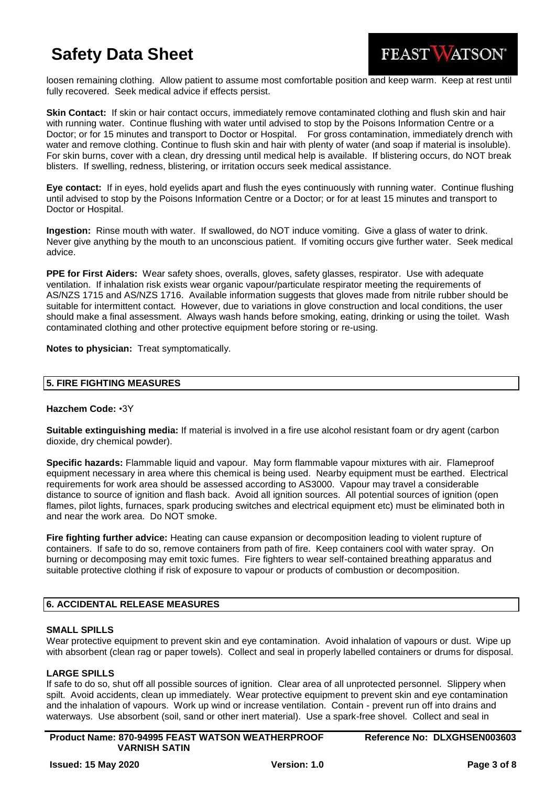

loosen remaining clothing. Allow patient to assume most comfortable position and keep warm. Keep at rest until fully recovered. Seek medical advice if effects persist.

**Skin Contact:** If skin or hair contact occurs, immediately remove contaminated clothing and flush skin and hair with running water. Continue flushing with water until advised to stop by the Poisons Information Centre or a Doctor; or for 15 minutes and transport to Doctor or Hospital. For gross contamination, immediately drench with water and remove clothing. Continue to flush skin and hair with plenty of water (and soap if material is insoluble). For skin burns, cover with a clean, dry dressing until medical help is available. If blistering occurs, do NOT break blisters. If swelling, redness, blistering, or irritation occurs seek medical assistance.

**Eye contact:** If in eyes, hold eyelids apart and flush the eyes continuously with running water. Continue flushing until advised to stop by the Poisons Information Centre or a Doctor; or for at least 15 minutes and transport to Doctor or Hospital.

**Ingestion:** Rinse mouth with water. If swallowed, do NOT induce vomiting. Give a glass of water to drink. Never give anything by the mouth to an unconscious patient. If vomiting occurs give further water. Seek medical advice.

**PPE for First Aiders:** Wear safety shoes, overalls, gloves, safety glasses, respirator. Use with adequate ventilation. If inhalation risk exists wear organic vapour/particulate respirator meeting the requirements of AS/NZS 1715 and AS/NZS 1716. Available information suggests that gloves made from nitrile rubber should be suitable for intermittent contact. However, due to variations in glove construction and local conditions, the user should make a final assessment. Always wash hands before smoking, eating, drinking or using the toilet. Wash contaminated clothing and other protective equipment before storing or re-using.

**Notes to physician:** Treat symptomatically.

# **5. FIRE FIGHTING MEASURES**

#### **Hazchem Code:** •3Y

**Suitable extinguishing media:** If material is involved in a fire use alcohol resistant foam or dry agent (carbon dioxide, dry chemical powder).

**Specific hazards:** Flammable liquid and vapour. May form flammable vapour mixtures with air. Flameproof equipment necessary in area where this chemical is being used. Nearby equipment must be earthed. Electrical requirements for work area should be assessed according to AS3000. Vapour may travel a considerable distance to source of ignition and flash back. Avoid all ignition sources. All potential sources of ignition (open flames, pilot lights, furnaces, spark producing switches and electrical equipment etc) must be eliminated both in and near the work area. Do NOT smoke.

**Fire fighting further advice:** Heating can cause expansion or decomposition leading to violent rupture of containers. If safe to do so, remove containers from path of fire. Keep containers cool with water spray. On burning or decomposing may emit toxic fumes. Fire fighters to wear self-contained breathing apparatus and suitable protective clothing if risk of exposure to vapour or products of combustion or decomposition.

# **6. ACCIDENTAL RELEASE MEASURES**

#### **SMALL SPILLS**

Wear protective equipment to prevent skin and eye contamination. Avoid inhalation of vapours or dust. Wipe up with absorbent (clean rag or paper towels). Collect and seal in properly labelled containers or drums for disposal.

#### **LARGE SPILLS**

If safe to do so, shut off all possible sources of ignition. Clear area of all unprotected personnel. Slippery when spilt. Avoid accidents, clean up immediately. Wear protective equipment to prevent skin and eye contamination and the inhalation of vapours. Work up wind or increase ventilation. Contain - prevent run off into drains and waterways. Use absorbent (soil, sand or other inert material). Use a spark-free shovel. Collect and seal in

**Product Name: 870-94995 FEAST WATSON WEATHERPROOF VARNISH SATIN**

**Reference No: DLXGHSEN003603**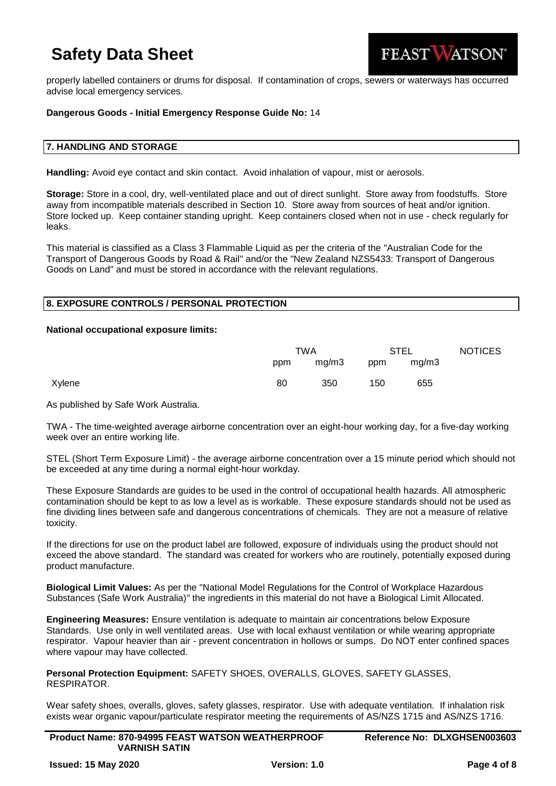

properly labelled containers or drums for disposal. If contamination of crops, sewers or waterways has occurred advise local emergency services.

### **Dangerous Goods - Initial Emergency Response Guide No:** 14

#### **7. HANDLING AND STORAGE**

**Handling:** Avoid eye contact and skin contact. Avoid inhalation of vapour, mist or aerosols.

**Storage:** Store in a cool, dry, well-ventilated place and out of direct sunlight. Store away from foodstuffs. Store away from incompatible materials described in Section 10. Store away from sources of heat and/or ignition. Store locked up. Keep container standing upright. Keep containers closed when not in use - check regularly for leaks.

This material is classified as a Class 3 Flammable Liquid as per the criteria of the "Australian Code for the Transport of Dangerous Goods by Road & Rail" and/or the "New Zealand NZS5433: Transport of Dangerous Goods on Land" and must be stored in accordance with the relevant regulations.

#### **8. EXPOSURE CONTROLS / PERSONAL PROTECTION**

#### **National occupational exposure limits:**

|        | TWA |       | <b>STEL</b> |       | <b>NOTICES</b> |
|--------|-----|-------|-------------|-------|----------------|
|        | ppm | mg/m3 | ppm         | mq/m3 |                |
| Xylene | 80  | 350   | 150         | 655   |                |

As published by Safe Work Australia.

TWA - The time-weighted average airborne concentration over an eight-hour working day, for a five-day working week over an entire working life.

STEL (Short Term Exposure Limit) - the average airborne concentration over a 15 minute period which should not be exceeded at any time during a normal eight-hour workday.

These Exposure Standards are guides to be used in the control of occupational health hazards. All atmospheric contamination should be kept to as low a level as is workable. These exposure standards should not be used as fine dividing lines between safe and dangerous concentrations of chemicals. They are not a measure of relative toxicity.

If the directions for use on the product label are followed, exposure of individuals using the product should not exceed the above standard. The standard was created for workers who are routinely, potentially exposed during product manufacture.

**Biological Limit Values:** As per the "National Model Regulations for the Control of Workplace Hazardous Substances (Safe Work Australia)" the ingredients in this material do not have a Biological Limit Allocated.

**Engineering Measures:** Ensure ventilation is adequate to maintain air concentrations below Exposure Standards. Use only in well ventilated areas. Use with local exhaust ventilation or while wearing appropriate respirator. Vapour heavier than air - prevent concentration in hollows or sumps. Do NOT enter confined spaces where vapour may have collected.

**Personal Protection Equipment:** SAFETY SHOES, OVERALLS, GLOVES, SAFETY GLASSES, RESPIRATOR.

Wear safety shoes, overalls, gloves, safety glasses, respirator. Use with adequate ventilation. If inhalation risk exists wear organic vapour/particulate respirator meeting the requirements of AS/NZS 1715 and AS/NZS 1716.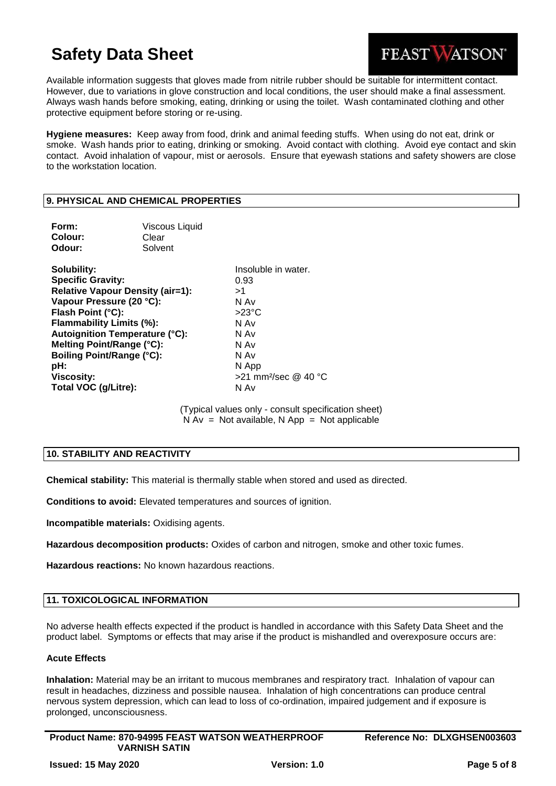

Available information suggests that gloves made from nitrile rubber should be suitable for intermittent contact. However, due to variations in glove construction and local conditions, the user should make a final assessment. Always wash hands before smoking, eating, drinking or using the toilet. Wash contaminated clothing and other protective equipment before storing or re-using.

**Hygiene measures:** Keep away from food, drink and animal feeding stuffs. When using do not eat, drink or smoke. Wash hands prior to eating, drinking or smoking. Avoid contact with clothing. Avoid eye contact and skin contact. Avoid inhalation of vapour, mist or aerosols. Ensure that eyewash stations and safety showers are close to the workstation location.

## **9. PHYSICAL AND CHEMICAL PROPERTIES**

| Form:<br>Colour:<br>Odour:                                                                                                                                                                                                                                                                                                    | <b>Viscous Liquid</b><br>Clear<br>Solvent |                                                                                                                                                      |
|-------------------------------------------------------------------------------------------------------------------------------------------------------------------------------------------------------------------------------------------------------------------------------------------------------------------------------|-------------------------------------------|------------------------------------------------------------------------------------------------------------------------------------------------------|
| Solubility:<br><b>Specific Gravity:</b><br><b>Relative Vapour Density (air=1):</b><br>Vapour Pressure (20 °C):<br>Flash Point (°C):<br>Flammability Limits (%):<br><b>Autoignition Temperature (°C):</b><br>Melting Point/Range (°C):<br><b>Boiling Point/Range (°C):</b><br>pH:<br><b>Viscosity:</b><br>Total VOC (g/Litre): |                                           | Insoluble in water.<br>0.93<br>>1<br>N Av<br>$>23^{\circ}$ C<br>N Av<br>N Av<br>N Av<br>N Av<br>N App<br>$>$ 21 mm <sup>2</sup> /sec @ 40 °C<br>N Av |

(Typical values only - consult specification sheet)  $N Av = Not available, N App = Not applicable$ 

# **10. STABILITY AND REACTIVITY**

**Chemical stability:** This material is thermally stable when stored and used as directed.

**Conditions to avoid:** Elevated temperatures and sources of ignition.

**Incompatible materials:** Oxidising agents.

**Hazardous decomposition products:** Oxides of carbon and nitrogen, smoke and other toxic fumes.

**Hazardous reactions:** No known hazardous reactions.

#### **11. TOXICOLOGICAL INFORMATION**

No adverse health effects expected if the product is handled in accordance with this Safety Data Sheet and the product label. Symptoms or effects that may arise if the product is mishandled and overexposure occurs are:

## **Acute Effects**

**Inhalation:** Material may be an irritant to mucous membranes and respiratory tract. Inhalation of vapour can result in headaches, dizziness and possible nausea. Inhalation of high concentrations can produce central nervous system depression, which can lead to loss of co-ordination, impaired judgement and if exposure is prolonged, unconsciousness.

| <b>Product Name: 870-94995 FEAST WATSON WEATHERPROOF</b> |  |
|----------------------------------------------------------|--|
| <b>VARNISH SATIN</b>                                     |  |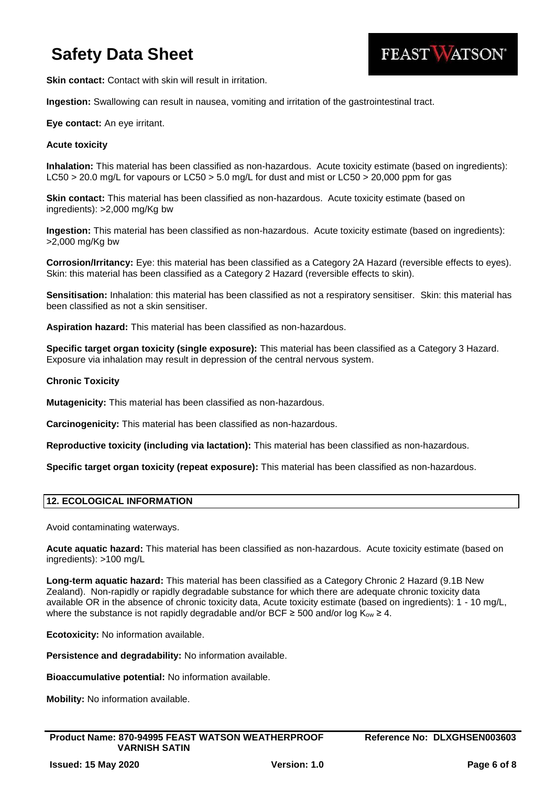

**Skin contact:** Contact with skin will result in irritation.

**Ingestion:** Swallowing can result in nausea, vomiting and irritation of the gastrointestinal tract.

## **Eye contact:** An eye irritant.

### **Acute toxicity**

**Inhalation:** This material has been classified as non-hazardous. Acute toxicity estimate (based on ingredients): LC50 > 20.0 mg/L for vapours or LC50 > 5.0 mg/L for dust and mist or LC50 > 20,000 ppm for gas

**Skin contact:** This material has been classified as non-hazardous. Acute toxicity estimate (based on ingredients): >2,000 mg/Kg bw

**Ingestion:** This material has been classified as non-hazardous. Acute toxicity estimate (based on ingredients): >2,000 mg/Kg bw

**Corrosion/Irritancy:** Eye: this material has been classified as a Category 2A Hazard (reversible effects to eyes). Skin: this material has been classified as a Category 2 Hazard (reversible effects to skin).

**Sensitisation:** Inhalation: this material has been classified as not a respiratory sensitiser. Skin: this material has been classified as not a skin sensitiser.

**Aspiration hazard:** This material has been classified as non-hazardous.

**Specific target organ toxicity (single exposure):** This material has been classified as a Category 3 Hazard. Exposure via inhalation may result in depression of the central nervous system.

### **Chronic Toxicity**

**Mutagenicity:** This material has been classified as non-hazardous.

**Carcinogenicity:** This material has been classified as non-hazardous.

**Reproductive toxicity (including via lactation):** This material has been classified as non-hazardous.

**Specific target organ toxicity (repeat exposure):** This material has been classified as non-hazardous.

# **12. ECOLOGICAL INFORMATION**

Avoid contaminating waterways.

**Acute aquatic hazard:** This material has been classified as non-hazardous. Acute toxicity estimate (based on ingredients): >100 mg/L

**Long-term aquatic hazard:** This material has been classified as a Category Chronic 2 Hazard (9.1B New Zealand). Non-rapidly or rapidly degradable substance for which there are adequate chronic toxicity data available OR in the absence of chronic toxicity data, Acute toxicity estimate (based on ingredients): 1 - 10 mg/L, where the substance is not rapidly degradable and/or BCF  $\geq$  500 and/or log K<sub>ow</sub>  $\geq$  4.

**Ecotoxicity:** No information available.

**Persistence and degradability:** No information available.

**Bioaccumulative potential:** No information available.

**Mobility:** No information available.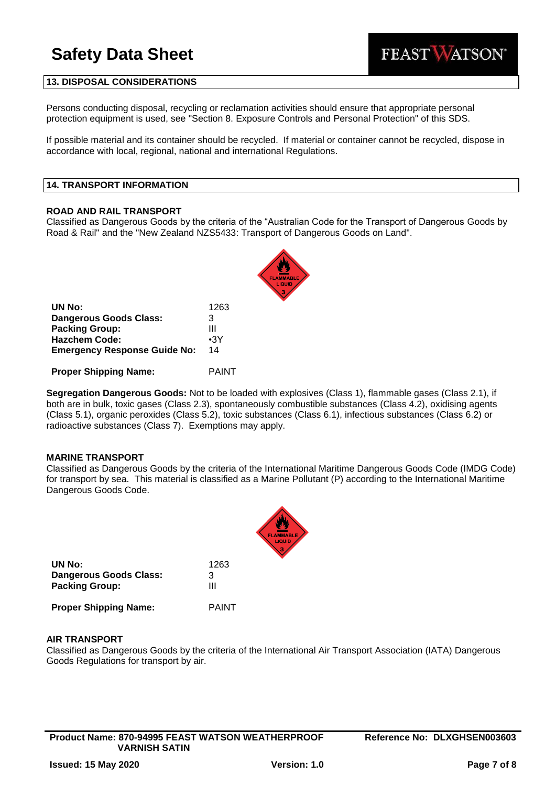

### **13. DISPOSAL CONSIDERATIONS**

Persons conducting disposal, recycling or reclamation activities should ensure that appropriate personal protection equipment is used, see "Section 8. Exposure Controls and Personal Protection" of this SDS.

If possible material and its container should be recycled. If material or container cannot be recycled, dispose in accordance with local, regional, national and international Regulations.

#### **14. TRANSPORT INFORMATION**

#### **ROAD AND RAIL TRANSPORT**

Classified as Dangerous Goods by the criteria of the "Australian Code for the Transport of Dangerous Goods by Road & Rail" and the "New Zealand NZS5433: Transport of Dangerous Goods on Land".

| UN No:                              | 1263       |
|-------------------------------------|------------|
| <b>Dangerous Goods Class:</b>       | 3          |
| <b>Packing Group:</b>               | Ш          |
| <b>Hazchem Code:</b>                | $\cdot$ 3Y |
| <b>Emergency Response Guide No:</b> | 14         |
|                                     |            |

**Proper Shipping Name:** PAINT

**Segregation Dangerous Goods:** Not to be loaded with explosives (Class 1), flammable gases (Class 2.1), if both are in bulk, toxic gases (Class 2.3), spontaneously combustible substances (Class 4.2), oxidising agents (Class 5.1), organic peroxides (Class 5.2), toxic substances (Class 6.1), infectious substances (Class 6.2) or radioactive substances (Class 7). Exemptions may apply.

#### **MARINE TRANSPORT**

Classified as Dangerous Goods by the criteria of the International Maritime Dangerous Goods Code (IMDG Code) for transport by sea. This material is classified as a Marine Pollutant (P) according to the International Maritime Dangerous Goods Code.

| UN No:                       | 1263  |
|------------------------------|-------|
| Dangerous Goods Class:       | 3     |
| <b>Packing Group:</b>        | Ш     |
| <b>Proper Shipping Name:</b> | PAINT |

# **AIR TRANSPORT**

Classified as Dangerous Goods by the criteria of the International Air Transport Association (IATA) Dangerous Goods Regulations for transport by air.

**Product Name: 870-94995 FEAST WATSON WEATHERPROOF VARNISH SATIN**